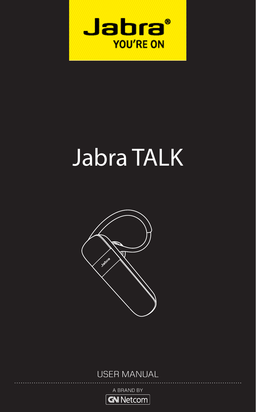

# Jabra TALK



## USER MANUAL

A BRAND BY

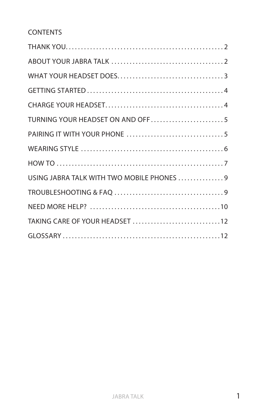## CONTENTS

| TURNING YOUR HEADSET ON AND OFF5           |
|--------------------------------------------|
|                                            |
|                                            |
|                                            |
| USING JABRA TALK WITH TWO MOBILE PHONES  9 |
|                                            |
|                                            |
|                                            |
|                                            |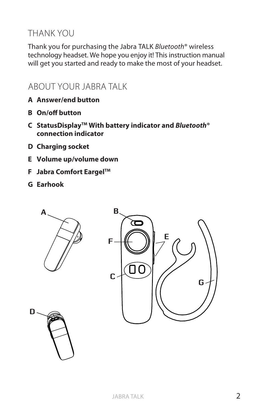## THANK YOU

Thank you for purchasing the Jabra TALK *Bluetooth*® wireless technology headset. We hope you enjoy it! This instruction manual will get you started and ready to make the most of your headset.

## ABOUT YOUR JABRA TALK

- **A Answer/end button**
- **B On/off button**
- **C StatusDisplayTM With battery indicator and** *Bluetooth***® connection indicator**
- **D Charging socket**
- **E Volume up/volume down**
- **F Jabra Comfort EargelTM**
- **G Earhook**

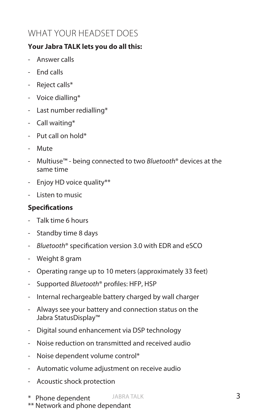# WHAT YOUR HEADSET DOES

#### **Your Jabra TALK lets you do all this:**

- Answer calls
- End calls
- Reject calls\*
- Voice dialling\*
- Last number redialling\*
- Call waiting\*
- $-$  Put call on hold\*
- Mute
- Multiuse™ being connected to two *Bluetooth*® devices at the same time
- Enjoy HD voice quality\*\*
- Listen to music

#### **Specifications**

- Talk time 6 hours
- Standby time 8 days
- *Bluetooth*® specification version 3.0 with EDR and eSCO
- Weight 8 gram
- Operating range up to 10 meters (approximately 33 feet)
- Supported *Bluetooth*® profiles: HFP, HSP
- Internal rechargeable battery charged by wall charger
- Always see your battery and connection status on the Jabra StatusDisplay™
- Digital sound enhancement via DSP technology
- Noise reduction on transmitted and received audio
- Noise dependent volume control\*
- Automatic volume adjustment on receive audio
- Acoustic shock protection
- JABRA TALK \* Phone dependent
- \*\* Network and phone dependant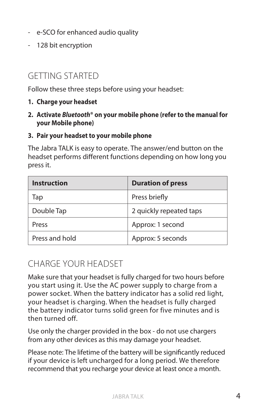- e-SCO for enhanced audio quality
- 128 bit encryption

## GETTING STARTED

Follow these three steps before using your headset:

- **1. Charge your headset**
- **2. Activate** *Bluetooth***® on your mobile phone (refer to the manual for your Mobile phone)**
- **3. Pair your headset to your mobile phone**

The Jabra TALK is easy to operate. The answer/end button on the headset performs different functions depending on how long you press it.

| Instruction    | <b>Duration of press</b> |
|----------------|--------------------------|
| Tap            | Press briefly            |
| Double Tap     | 2 quickly repeated taps  |
| Press          | Approx: 1 second         |
| Press and hold | Approx: 5 seconds        |

## CHARGE YOUR HEADSET

Make sure that your headset is fully charged for two hours before you start using it. Use the AC power supply to charge from a power socket. When the battery indicator has a solid red light, your headset is charging. When the headset is fully charged the battery indicator turns solid green for five minutes and is then turned off.

Use only the charger provided in the box - do not use chargers from any other devices as this may damage your headset.

Please note: The lifetime of the battery will be significantly reduced if your device is left uncharged for a long period. We therefore recommend that you recharge your device at least once a month.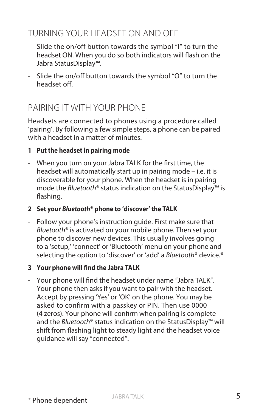# TURNING YOUR HEADSET ON AND OFF

- Slide the on/off button towards the symbol "I" to turn the headset ON. When you do so both indicators will flash on the Jabra StatusDisplay™.
- Slide the on/off button towards the symbol "O" to turn the headset off.

# PAIRING IT WITH YOUR PHONE

Headsets are connected to phones using a procedure called 'pairing'. By following a few simple steps, a phone can be paired with a headset in a matter of minutes.

#### **1 Put the headset in pairing mode**

- When you turn on your Jabra TALK for the first time, the headset will automatically start up in pairing mode – i.e. it is discoverable for your phone. When the headset is in pairing mode the *Bluetooth*® status indication on the StatusDisplay™ is flashing.

#### **2 Set your** *Bluetooth***® phone to 'discover' the TALK**

- Follow your phone's instruction guide. First make sure that *Bluetooth*® is activated on your mobile phone. Then set your phone to discover new devices. This usually involves going to a 'setup,' 'connect' or 'Bluetooth' menu on your phone and selecting the option to 'discover' or 'add' a *Bluetooth*® device.\*

#### **3 Your phone will find the Jabra TALK**

- Your phone will find the headset under name "Jabra TALK". Your phone then asks if you want to pair with the headset. Accept by pressing 'Yes' or 'OK' on the phone. You may be asked to confirm with a passkey or PIN. Then use 0000 (4 zeros). Your phone will confirm when pairing is complete and the *Bluetooth*® status indication on the StatusDisplay™ will shift from flashing light to steady light and the headset voice guidance will say "connected".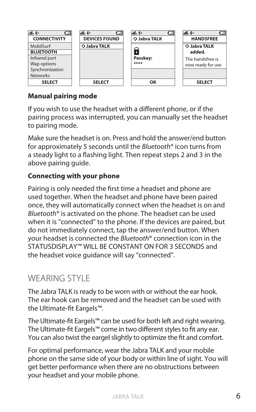

#### **Manual pairing mode**

If you wish to use the headset with a different phone, or if the pairing process was interrupted, you can manually set the headset to pairing mode.

Make sure the headset is on. Press and hold the answer/end button for approximately 5 seconds until the *Bluetooth*® icon turns from a steady light to a flashing light. Then repeat steps 2 and 3 in the above pairing quide.

#### **Connecting with your phone**

Pairing is only needed the first time a headset and phone are used together. When the headset and phone have been paired once, they will automatically connect when the headset is on and *Bluetooth*® is activated on the phone. The headset can be used when it is "connected" to the phone. If the devices are paired, but do not immediately connect, tap the answer/end button. When your headset is connected the *Bluetooth*® connection icon in the STATUSDISPLAY™ WILL BE CONSTANT ON FOR 3 SECONDS and the headset voice guidance will say "connected".

## WEARING STYLE

The Jabra TALK is ready to be worn with or without the ear hook. The ear hook can be removed and the headset can be used with the Ultimate-fit Eargels™.

The Ultimate-fit Eargels™ can be used for both left and right wearing. The Ultimate-fit Eargels™ come in two different styles to fit any ear. You can also twist the eargel slightly to optimize the fit and comfort.

For optimal performance, wear the Jabra TALK and your mobile phone on the same side of your body or within line of sight. You will get better performance when there are no obstructions between your headset and your mobile phone.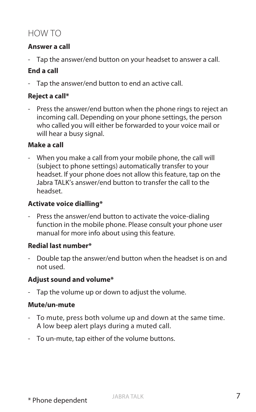# HOW TO

#### **Answer a call**

Tap the answer/end button on your headset to answer a call.

#### **End a call**

- Tap the answer/end button to end an active call.

#### **Reject a call\***

- Press the answer/end button when the phone rings to reject an incoming call. Depending on your phone settings, the person who called you will either be forwarded to your voice mail or will hear a busy signal.

#### **Make a call**

- When you make a call from your mobile phone, the call will (subject to phone settings) automatically transfer to your headset. If your phone does not allow this feature, tap on the Jabra TALK's answer/end button to transfer the call to the headset.

#### **Activate voice dialling\***

- Press the answer/end button to activate the voice-dialing function in the mobile phone. Please consult your phone user manual for more info about using this feature.

#### **Redial last number\***

- Double tap the answer/end button when the headset is on and not used.

#### **Adjust sound and volume\***

- Tap the volume up or down to adjust the volume.

#### **Mute/un-mute**

- To mute, press both volume up and down at the same time. A low beep alert plays during a muted call.
- To un-mute, tap either of the volume buttons.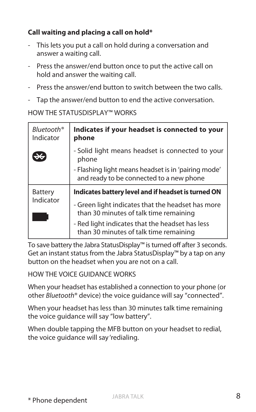### **Call waiting and placing a call on hold\***

- This lets you put a call on hold during a conversation and answer a waiting call.
- Press the answer/end button once to put the active call on hold and answer the waiting call.
- Press the answer/end button to switch between the two calls.
- Tap the answer/end button to end the active conversation.

#### HOW THE STATUSDISPLAY™ WORKS

| Bluetooth <sup>®</sup><br>Indicator | Indicates if your headset is connected to your<br>phone                                         |
|-------------------------------------|-------------------------------------------------------------------------------------------------|
|                                     | - Solid light means headset is connected to your<br>phone                                       |
|                                     | - Flashing light means headset is in 'pairing mode'<br>and ready to be connected to a new phone |
| Battery<br>Indicator                | Indicates battery level and if headset is turned ON                                             |
|                                     | - Green light indicates that the headset has more<br>than 30 minutes of talk time remaining     |
|                                     | - Red light indicates that the headset has less<br>than 30 minutes of talk time remaining       |

To save battery the Jabra StatusDisplay™ is turned off after 3 seconds. Get an instant status from the Jabra StatusDisplay™ by a tap on any button on the headset when you are not on a call.

HOW THE VOICE GUIDANCE WORKS

When your headset has established a connection to your phone (or other *Bluetooth*® device) the voice guidance will say "connected".

When your headset has less than 30 minutes talk time remaining the voice quidance will say "low battery".

When double tapping the MFB button on your headset to redial, the voice quidance will say 'redialing.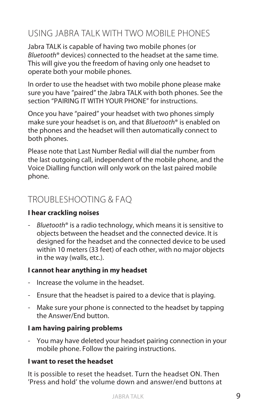# USING JABRA TALK WITH TWO MOBILE PHONES

Jabra TALK is capable of having two mobile phones (or *Bluetooth*® devices) connected to the headset at the same time. This will give you the freedom of having only one headset to operate both your mobile phones.

In order to use the headset with two mobile phone please make sure you have "paired" the Jabra TALK with both phones. See the section "PAIRING IT WITH YOUR PHONE" for instructions.

Once you have "paired" your headset with two phones simply make sure your headset is on, and that *Bluetooth*® is enabled on the phones and the headset will then automatically connect to both phones.

Please note that Last Number Redial will dial the number from the last outgoing call, independent of the mobile phone, and the Voice Dialling function will only work on the last paired mobile phone.

# TROUBLESHOOTING & FAQ

#### **I hear crackling noises**

- *Bluetooth*® is a radio technology, which means it is sensitive to objects between the headset and the connected device. It is designed for the headset and the connected device to be used within 10 meters (33 feet) of each other, with no major objects in the way (walls, etc.).

#### **I cannot hear anything in my headset**

- Increase the volume in the headset.
- Ensure that the headset is paired to a device that is playing.
- Make sure your phone is connected to the headset by tapping the Answer/End button.

#### **I am having pairing problems**

- You may have deleted your headset pairing connection in your mobile phone. Follow the pairing instructions.

#### **I want to reset the headset**

It is possible to reset the headset. Turn the headset ON. Then 'Press and hold' the volume down and answer/end buttons at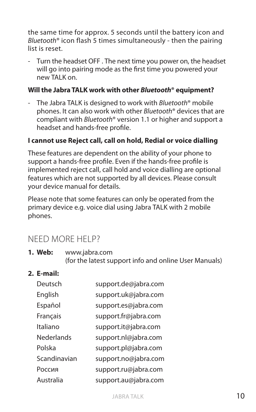the same time for approx. 5 seconds until the battery icon and *Bluetooth*® icon flash 5 times simultaneously - then the pairing list is reset.

- Turn the headset OFF . The next time you power on, the headset will go into pairing mode as the first time you powered your new TALK on.

#### **Will the Jabra TALK work with other** *Bluetooth***® equipment?**

- The Jabra TALK is designed to work with *Bluetooth*® mobile phones. It can also work with other *Bluetooth*® devices that are compliant with *Bluetooth*® version 1.1 or higher and support a headset and hands-free profile.

#### **I cannot use Reject call, call on hold, Redial or voice dialling**

These features are dependent on the ability of your phone to support a hands-free profile. Even if the hands-free profile is implemented reject call, call hold and voice dialling are optional features which are not supported by all devices. Please consult your device manual for details.

Please note that some features can only be operated from the primary device e.g. voice dial using Jabra TALK with 2 mobile phones.

## NEED MORE HELP?

**1. Web:** www.jabra.com (for the latest support info and online User Manuals)

#### **2. E-mail:**

| Deutsch           | support.de@jabra.com |
|-------------------|----------------------|
| English           | support.uk@jabra.com |
| Español           | support.es@jabra.com |
| Français          | support.fr@jabra.com |
| Italiano          | support.it@jabra.com |
| <b>Nederlands</b> | support.nl@jabra.com |
| Polska            | support.pl@jabra.com |
| Scandinavian      | support.no@jabra.com |
| Россия            | support.ru@jabra.com |
| Australia         | support.au@jabra.com |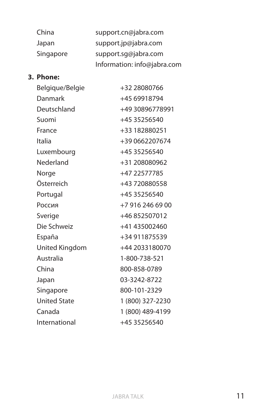| China     | support.cn@jabra.com        |
|-----------|-----------------------------|
| Japan     | support.jp@jabra.com        |
| Singapore | support.sq@jabra.com        |
|           | Information: info@jabra.com |

#### **3. Phone:**

| Belgique/Belgie     | +32 28080766     |
|---------------------|------------------|
| Danmark             | +4569918794      |
| Deutschland         | +49 30896778991  |
| Suomi               | +45 35256540     |
| France              | +33 182880251    |
| Italia              | +39 0662207674   |
| Luxembourg          | +45 35256540     |
| Nederland           | +31 208080962    |
| Norge               | +47 22577785     |
| Österreich          | +43 720880558    |
| Portugal            | +45 35256540     |
| Россия              | +7 916 246 69 00 |
| Sverige             | +46852507012     |
| Die Schweiz         | +41 435002460    |
| España              | +34 911875539    |
| United Kingdom      | +44 2033180070   |
| Australia           | 1-800-738-521    |
| China               | 800-858-0789     |
| Japan               | 03-3242-8722     |
| Singapore           | 800-101-2329     |
| <b>United State</b> | 1 (800) 327-2230 |
| Canada              | 1 (800) 489-4199 |
| International       | +45 35256540     |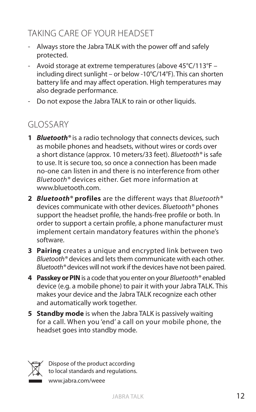# TAKING CARE OF YOUR HEADSET

- Always store the Jabra TALK with the power off and safely protected.
- Avoid storage at extreme temperatures (above 45°C/113°F including direct sunlight – or below -10°C/14°F). This can shorten battery life and may affect operation. High temperatures may also degrade performance.
- Do not expose the Jabra TALK to rain or other liquids.

# GLOSSARY

- **1** *Bluetooth®* is a radio technology that connects devices, such as mobile phones and headsets, without wires or cords over a short distance (approx. 10 meters/33 feet). *Bluetooth®* is safe to use. It is secure too, so once a connection has been made no-one can listen in and there is no interference from other *Bluetooth®* devices either. Get more information at www.bluetooth.com.
- **2** *Bluetooth®* **profiles** are the different ways that *Bluetooth®* devices communicate with other devices. *Bluetooth®* phones support the headset profile, the hands-free profile or both. In order to support a certain profile, a phone manufacturer must implement certain mandatory features within the phone's software.
- **3 Pairing** creates a unique and encrypted link between two *Bluetooth®* devices and lets them communicate with each other. *Bluetooth®* devices will not work if the devices have not been paired.
- **4 Passkey or PIN** is a code that you enter on your *Bluetooth®* enabled device (e.g. a mobile phone) to pair it with your Jabra TALK. This makes your device and the Jabra TALK recognize each other and automatically work together.
- **5 Standby mode** is when the Jabra TALK is passively waiting for a call. When you 'end' a call on your mobile phone, the headset goes into standby mode.



Dispose of the product according to local standards and regulations.

www.jabra.com/weee